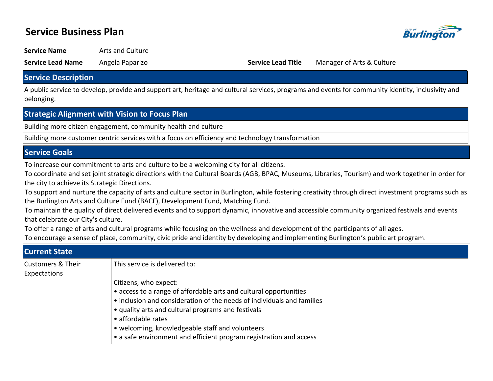# **Service Business Plan**



**Service Name** Arts and Culture

**Service Lead Name** Angela Paparizo **Service Lead Title** Manager of Arts & Culture

### **Service Description**

A public service to develop, provide and support art, heritage and cultural services, programs and events for community identity, inclusivity and belonging.

## **Strategic Alignment with Vision to Focus Plan**

Building more citizen engagement, community health and culture

Building more customer centric services with a focus on efficiency and technology transformation

## **Service Goals**

To increase our commitment to arts and culture to be a welcoming city for all citizens.

To coordinate and set joint strategic directions with the Cultural Boards (AGB, BPAC, Museums, Libraries, Tourism) and work together in order for the city to achieve its Strategic Directions.

To support and nurture the capacity of arts and culture sector in Burlington, while fostering creativity through direct investment programs such as the Burlington Arts and Culture Fund (BACF), Development Fund, Matching Fund.

To maintain the quality of direct delivered events and to support dynamic, innovative and accessible community organized festivals and events that celebrate our City's culture.

To offer a range of arts and cultural programs while focusing on the wellness and development of the participants of all ages.

To encourage a sense of place, community, civic pride and identity by developing and implementing Burlington's public art program.

| <b>Current State</b>         |                                                                        |  |  |  |  |  |  |
|------------------------------|------------------------------------------------------------------------|--|--|--|--|--|--|
| <b>Customers &amp; Their</b> | This service is delivered to:                                          |  |  |  |  |  |  |
| Expectations                 |                                                                        |  |  |  |  |  |  |
|                              | Citizens, who expect:                                                  |  |  |  |  |  |  |
|                              | • access to a range of affordable arts and cultural opportunities      |  |  |  |  |  |  |
|                              | • inclusion and consideration of the needs of individuals and families |  |  |  |  |  |  |
|                              | • quality arts and cultural programs and festivals                     |  |  |  |  |  |  |
|                              | • affordable rates                                                     |  |  |  |  |  |  |
|                              | • welcoming, knowledgeable staff and volunteers                        |  |  |  |  |  |  |
|                              | • a safe environment and efficient program registration and access     |  |  |  |  |  |  |
|                              |                                                                        |  |  |  |  |  |  |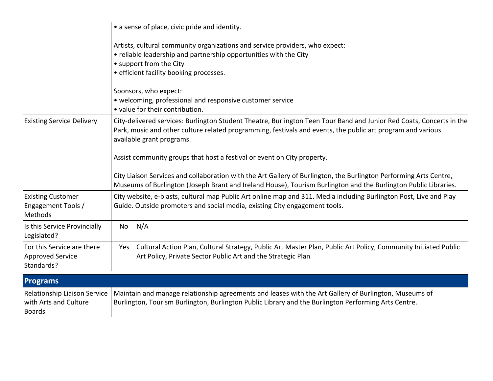|                                                                        | • a sense of place, civic pride and identity.                                                                                                                                                                                                                    |  |  |  |  |  |  |
|------------------------------------------------------------------------|------------------------------------------------------------------------------------------------------------------------------------------------------------------------------------------------------------------------------------------------------------------|--|--|--|--|--|--|
|                                                                        | Artists, cultural community organizations and service providers, who expect:<br>• reliable leadership and partnership opportunities with the City<br>• support from the City<br>• efficient facility booking processes.<br>Sponsors, who expect:                 |  |  |  |  |  |  |
|                                                                        | • welcoming, professional and responsive customer service<br>• value for their contribution.                                                                                                                                                                     |  |  |  |  |  |  |
| <b>Existing Service Delivery</b>                                       | City-delivered services: Burlington Student Theatre, Burlington Teen Tour Band and Junior Red Coats, Concerts in the<br>Park, music and other culture related programming, festivals and events, the public art program and various<br>available grant programs. |  |  |  |  |  |  |
|                                                                        | Assist community groups that host a festival or event on City property.                                                                                                                                                                                          |  |  |  |  |  |  |
|                                                                        | City Liaison Services and collaboration with the Art Gallery of Burlington, the Burlington Performing Arts Centre,<br>Museums of Burlington (Joseph Brant and Ireland House), Tourism Burlington and the Burlington Public Libraries.                            |  |  |  |  |  |  |
| <b>Existing Customer</b><br>Engagement Tools /<br>Methods              | City website, e-blasts, cultural map Public Art online map and 311. Media including Burlington Post, Live and Play<br>Guide. Outside promoters and social media, existing City engagement tools.                                                                 |  |  |  |  |  |  |
| Is this Service Provincially<br>Legislated?                            | N/A<br>No                                                                                                                                                                                                                                                        |  |  |  |  |  |  |
| For this Service are there<br><b>Approved Service</b><br>Standards?    | Cultural Action Plan, Cultural Strategy, Public Art Master Plan, Public Art Policy, Community Initiated Public<br>Yes<br>Art Policy, Private Sector Public Art and the Strategic Plan                                                                            |  |  |  |  |  |  |
| <b>Programs</b>                                                        |                                                                                                                                                                                                                                                                  |  |  |  |  |  |  |
| Relationship Liaison Service<br>with Arts and Culture<br><b>Boards</b> | Maintain and manage relationship agreements and leases with the Art Gallery of Burlington, Museums of<br>Burlington, Tourism Burlington, Burlington Public Library and the Burlington Performing Arts Centre.                                                    |  |  |  |  |  |  |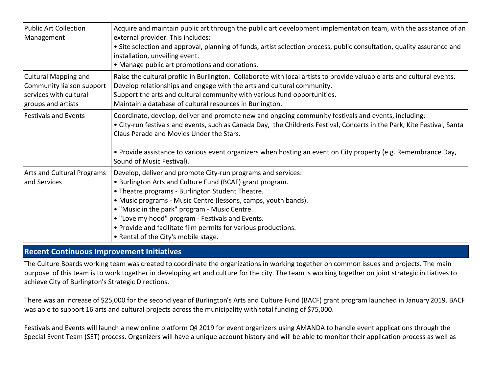| <b>Public Art Collection</b><br>Management                                                               | Acquire and maintain public art through the public art development implementation team, with the assistance of an<br>external provider. This includes:<br>• Site selection and approval, planning of funds, artist selection process, public consultation, quality assurance and<br>installation, unveiling event.<br>• Manage public art promotions and donations.                                                                                           |
|----------------------------------------------------------------------------------------------------------|---------------------------------------------------------------------------------------------------------------------------------------------------------------------------------------------------------------------------------------------------------------------------------------------------------------------------------------------------------------------------------------------------------------------------------------------------------------|
| <b>Cultural Mapping and</b><br>Community liaison support<br>services with cultural<br>groups and artists | Raise the cultural profile in Burlington. Collaborate with local artists to provide valuable arts and cultural events.<br>Develop relationships and engage with the arts and cultural community.<br>Support the arts and cultural community with various fund opportunities.<br>Maintain a database of cultural resources in Burlington.                                                                                                                      |
| <b>Festivals and Events</b>                                                                              | Coordinate, develop, deliver and promote new and ongoing community festivals and events, including:<br>• City-run festivals and events, such as Canada Day, the Children's Festival, Concerts in the Park, Kite Festival, Santa<br>Claus Parade and Movies Under the Stars.<br>• Provide assistance to various event organizers when hosting an event on City property (e.g. Remembrance Day,<br>Sound of Music Festival).                                    |
| <b>Arts and Cultural Programs</b><br>and Services                                                        | Develop, deliver and promote City-run programs and services:<br>• Burlington Arts and Culture Fund (BCAF) grant program.<br>• Theatre programs - Burlington Student Theatre.<br>• Music programs - Music Centre (lessons, camps, youth bands).<br>. "Music in the park" program - Music Centre.<br>. "Love my hood" program - Festivals and Events.<br>• Provide and facilitate film permits for various productions.<br>• Rental of the City's mobile stage. |

## **Recent Continuous Improvement Initiatives**

The Culture Boards working team was created to coordinate the organizations in working together on common issues and projects. The main purpose of this team is to work together in developing art and culture for the city. The team is working together on joint strategic initiatives to achieve City of Burlington's Strategic Directions.

There was an increase of \$25,000 for the second year of Burlington's Arts and Culture Fund (BACF) grant program launched in January 2019. BACF was able to support 16 arts and cultural projects across the municipality with total funding of \$75,000.

Festivals and Events will launch a new online platform Q4 2019 for event organizers using AMANDA to handle event applications through the Special Event Team (SET) process. Organizers will have a unique account history and will be able to monitor their application process as well as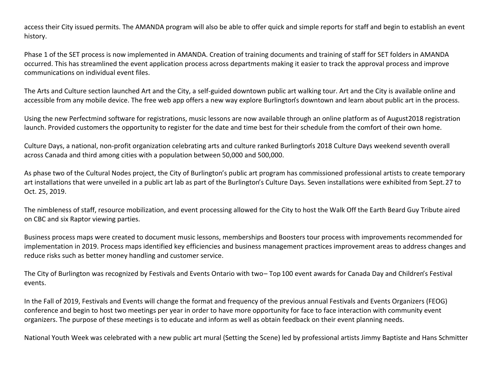access their City issued permits. The AMANDA program will also be able to offer quick and simple reports for staff and begin to establish an event history.

Phase 1 of the SET process is now implemented in AMANDA. Creation of training documents and training of staff for SET folders in AMANDA occurred. This has streamlined the event application process across departments making it easier to track the approval process and improve communications on individual event files.

The Arts and Culture section launched Art and the City, a self-guided downtown public art walking tour. Art and the City is available online and accessible from any mobile device. The free web app offers a new way explore Burlington's downtown and learn about public art in the process.

Using the new Perfectmind software for registrations, music lessons are now available through an online platform as of August 2018 registration launch. Provided customers the opportunity to register for the date and time best for their schedule from the comfort of their own home.

Culture Days, a national, non-profit organization celebrating arts and culture ranked Burlington's 2018 Culture Days weekend seventh overall across Canada and third among cities with a population between 50,000 and 500,000.

As phase two of the Cultural Nodes project, the City of Burlington's public art program has commissioned professional artists to create temporary art installations that were unveiled in a public art lab as part of the Burlington's Culture Days. Seven installations were exhibited from Sept. 27 to Oct. 25, 2019.

The nimbleness of staff, resource mobilization, and event processing allowed for the City to host the Walk Off the Earth Beard Guy Tribute aired on CBC and six Raptor viewing parties.

Business process maps were created to document music lessons, memberships and Boosters tour process with improvements recommended for implementation in 2019. Process maps identified key efficiencies and business management practices improvement areas to address changes and reduce risks such as better money handling and customer service.

The City of Burlington was recognized by Festivals and Events Ontario with two-Top 100 event awards for Canada Day and Children's Festival events.

In the Fall of 2019, Festivals and Events will change the format and frequency of the previous annual Festivals and Events Organizers (FEOG) conference and begin to host two meetings per year in order to have more opportunity for face to face interaction with community event organizers. The purpose of these meetings is to educate and inform as well as obtain feedback on their event planning needs.

National Youth Week was celebrated with a new public art mural (Setting the Scene) led by professional artists Jimmy Baptiste and Hans Schmitter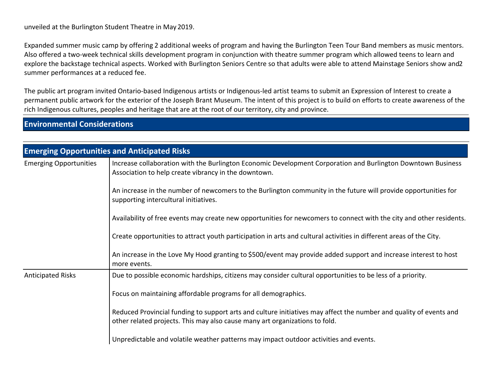unveiled at the Burlington Student Theatre in May 2019.

Expanded summer music camp by offering 2 additional weeks of program and having the Burlington Teen Tour Band members as music mentors. Also offered a two-week technical skills development program in conjunction with theatre summer program which allowed teens to learn and explore the backstage technical aspects. Worked with Burlington Seniors Centre so that adults were able to attend Mainstage Seniors show and 2 summer performances at a reduced fee.

The public art program invited Ontario-based Indigenous artists or Indigenous-led artist teams to submit an Expression of Interest to create a permanent public artwork for the exterior of the Joseph Brant Museum. The intent of this project is to build on efforts to create awareness of the rich Indigenous cultures, peoples and heritage that are at the root of our territory, city and province.

# **Environmental Considerations**

|                               | <b>Emerging Opportunities and Anticipated Risks</b>                                                                                                                                               |  |  |  |  |
|-------------------------------|---------------------------------------------------------------------------------------------------------------------------------------------------------------------------------------------------|--|--|--|--|
| <b>Emerging Opportunities</b> | Increase collaboration with the Burlington Economic Development Corporation and Burlington Downtown Business<br>Association to help create vibrancy in the downtown.                              |  |  |  |  |
|                               | An increase in the number of newcomers to the Burlington community in the future will provide opportunities for<br>supporting intercultural initiatives.                                          |  |  |  |  |
|                               | Availability of free events may create new opportunities for newcomers to connect with the city and other residents.                                                                              |  |  |  |  |
|                               | Create opportunities to attract youth participation in arts and cultural activities in different areas of the City.                                                                               |  |  |  |  |
|                               | An increase in the Love My Hood granting to \$500/event may provide added support and increase interest to host<br>more events.                                                                   |  |  |  |  |
| <b>Anticipated Risks</b>      | Due to possible economic hardships, citizens may consider cultural opportunities to be less of a priority.                                                                                        |  |  |  |  |
|                               | Focus on maintaining affordable programs for all demographics.                                                                                                                                    |  |  |  |  |
|                               | Reduced Provincial funding to support arts and culture initiatives may affect the number and quality of events and<br>other related projects. This may also cause many art organizations to fold. |  |  |  |  |
|                               | Unpredictable and volatile weather patterns may impact outdoor activities and events.                                                                                                             |  |  |  |  |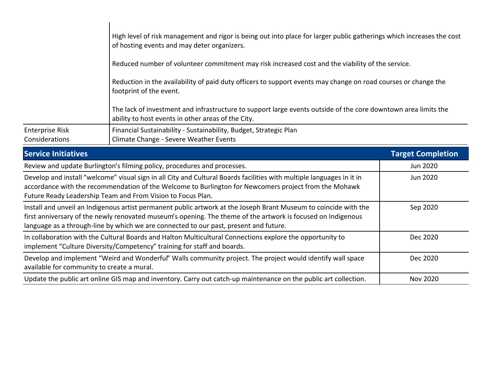| Complex Initiatives                      | Toppet Completion                                                                                                                                                    |
|------------------------------------------|----------------------------------------------------------------------------------------------------------------------------------------------------------------------|
| <b>Enterprise Risk</b><br>Considerations | Financial Sustainability - Sustainability, Budget, Strategic Plan<br>Climate Change - Severe Weather Events                                                          |
|                                          | The lack of investment and infrastructure to support large events outside of the core downtown area limits the<br>ability to host events in other areas of the City. |
|                                          | Reduction in the availability of paid duty officers to support events may change on road courses or change the<br>footprint of the event.                            |
|                                          | Reduced number of volunteer commitment may risk increased cost and the viability of the service.                                                                     |
|                                          | High level of risk management and rigor is being out into place for larger public gatherings which increases the cost<br>of hosting events and may deter organizers. |

| <b>Service Initiatives</b>                                                                                                                                                                                                                                                                                                | <b>Target Completion</b> |
|---------------------------------------------------------------------------------------------------------------------------------------------------------------------------------------------------------------------------------------------------------------------------------------------------------------------------|--------------------------|
| Review and update Burlington's filming policy, procedures and processes.                                                                                                                                                                                                                                                  | Jun 2020                 |
| Develop and install "welcome" visual sign in all City and Cultural Boards facilities with multiple languages in it in<br>accordance with the recommendation of the Welcome to Burlington for Newcomers project from the Mohawk<br>Future Ready Leadership Team and From Vision to Focus Plan.                             | Jun 2020                 |
| Install and unveil an Indigenous artist permanent public artwork at the Joseph Brant Museum to coincide with the<br>first anniversary of the newly renovated museum's opening. The theme of the artwork is focused on Indigenous<br>language as a through-line by which we are connected to our past, present and future. | Sep 2020                 |
| In collaboration with the Cultural Boards and Halton Multicultural Connections explore the opportunity to<br>implement "Culture Diversity/Competency" training for staff and boards.                                                                                                                                      | Dec 2020                 |
| Develop and implement "Weird and Wonderful" Walls community project. The project would identify wall space<br>available for community to create a mural.                                                                                                                                                                  | Dec 2020                 |
| Update the public art online GIS map and inventory. Carry out catch-up maintenance on the public art collection.                                                                                                                                                                                                          | <b>Nov 2020</b>          |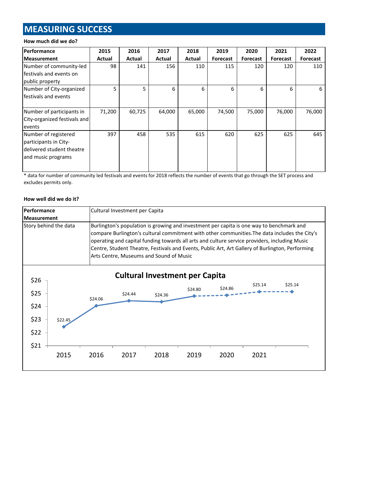# **MEASURING SUCCESS**

### **How much did we do?**

| Performance                  | 2015   | 2016   | 2017   | 2018   | 2019     | 2020     | 2021     | 2022     |
|------------------------------|--------|--------|--------|--------|----------|----------|----------|----------|
| <b>Measurement</b>           | Actual | Actual | Actual | Actual | Forecast | Forecast | Forecast | Forecast |
| Number of community-led      | 98     | 141    | 156    | 110    | 115      | 120      | 120      | 110      |
| festivals and events on      |        |        |        |        |          |          |          |          |
| public property              |        |        |        |        |          |          |          |          |
| Number of City-organized     | 5      | 5      | 6      | 6      | 6        | 6        | 6        | 6        |
| festivals and events         |        |        |        |        |          |          |          |          |
|                              |        |        |        |        |          |          |          |          |
| Number of participants in    | 71,200 | 60,725 | 64,000 | 65,000 | 74,500   | 75,000   | 76,000   | 76,000   |
| City-organized festivals and |        |        |        |        |          |          |          |          |
| events                       |        |        |        |        |          |          |          |          |
| Number of registered         | 397    | 458    | 535    | 615    | 620      | 625      | 625      | 645      |
| participants in City-        |        |        |        |        |          |          |          |          |
| delivered student theatre    |        |        |        |        |          |          |          |          |
| and music programs           |        |        |        |        |          |          |          |          |
|                              |        |        |        |        |          |          |          |          |
|                              |        |        |        |        |          |          |          |          |

\* data for number of community led festivals and events for 2018 reflects the number of events that go through the SET process and excludes permits only.

#### **How well did we do it?**

| Performance                                                                                                                                                                                                                                                                                                                                                                                                                                                        |         |         | Cultural Investment per Capita |         |                                       |         |         |         |
|--------------------------------------------------------------------------------------------------------------------------------------------------------------------------------------------------------------------------------------------------------------------------------------------------------------------------------------------------------------------------------------------------------------------------------------------------------------------|---------|---------|--------------------------------|---------|---------------------------------------|---------|---------|---------|
| <b>Measurement</b>                                                                                                                                                                                                                                                                                                                                                                                                                                                 |         |         |                                |         |                                       |         |         |         |
| Story behind the data<br>Burlington's population is growing and investment per capita is one way to benchmark and<br>compare Burlington's cultural commitment with other communities. The data includes the City's<br>operating and capital funding towards all arts and culture service providers, including Music<br>Centre, Student Theatre, Festivals and Events, Public Art, Art Gallery of Burlington, Performing<br>Arts Centre, Museums and Sound of Music |         |         |                                |         |                                       |         |         |         |
| \$26                                                                                                                                                                                                                                                                                                                                                                                                                                                               |         |         |                                |         | <b>Cultural Investment per Capita</b> |         |         |         |
| \$25                                                                                                                                                                                                                                                                                                                                                                                                                                                               |         | \$24.06 | \$24.44                        | \$24.36 | \$24.80                               | \$24.86 | \$25.14 | \$25.14 |
| \$24                                                                                                                                                                                                                                                                                                                                                                                                                                                               |         |         |                                |         |                                       |         |         |         |
| \$23                                                                                                                                                                                                                                                                                                                                                                                                                                                               | \$22.45 |         |                                |         |                                       |         |         |         |
| \$22                                                                                                                                                                                                                                                                                                                                                                                                                                                               |         |         |                                |         |                                       |         |         |         |
| \$21                                                                                                                                                                                                                                                                                                                                                                                                                                                               | 2015    | 2016    | 2017                           | 2018    | 2019                                  | 2020    | 2021    |         |